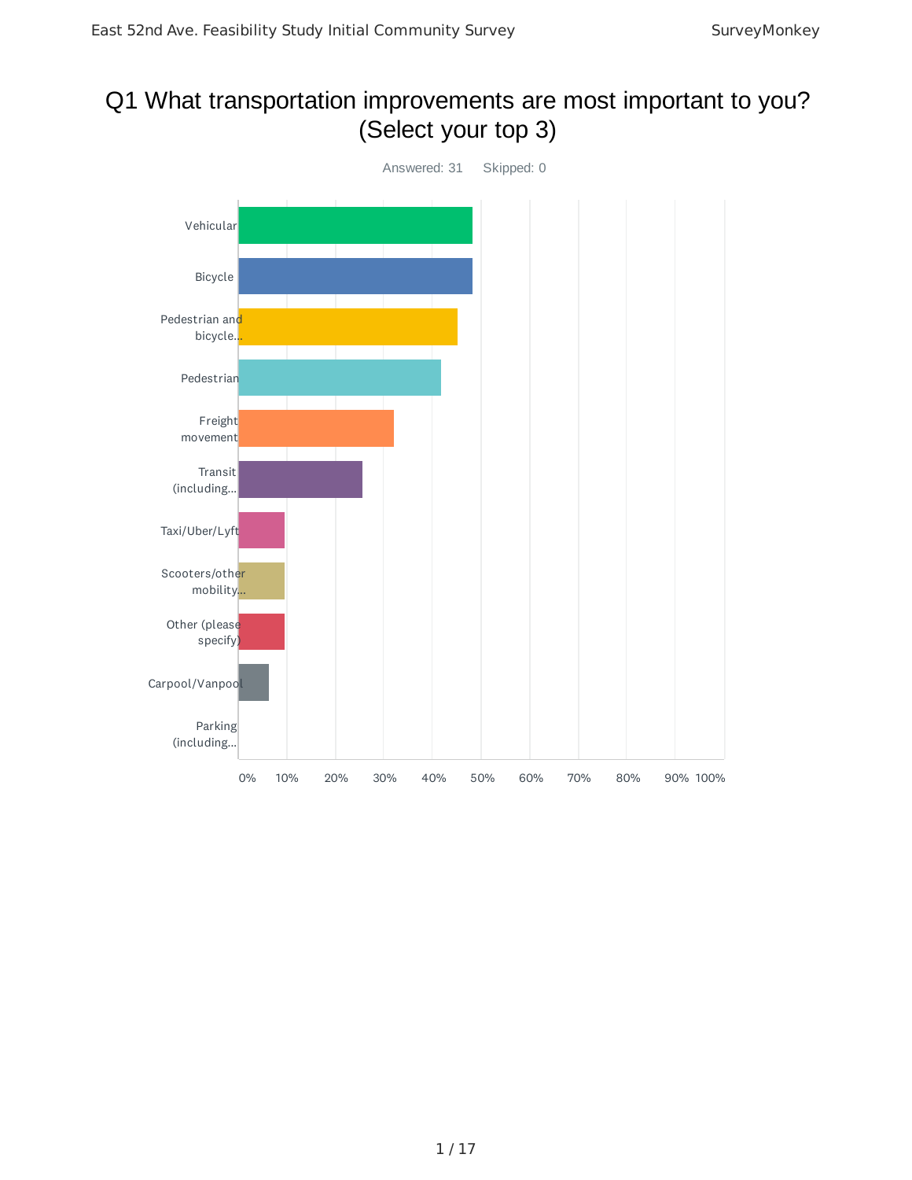## Q1 What transportation improvements are most important to you? (Select your top 3)

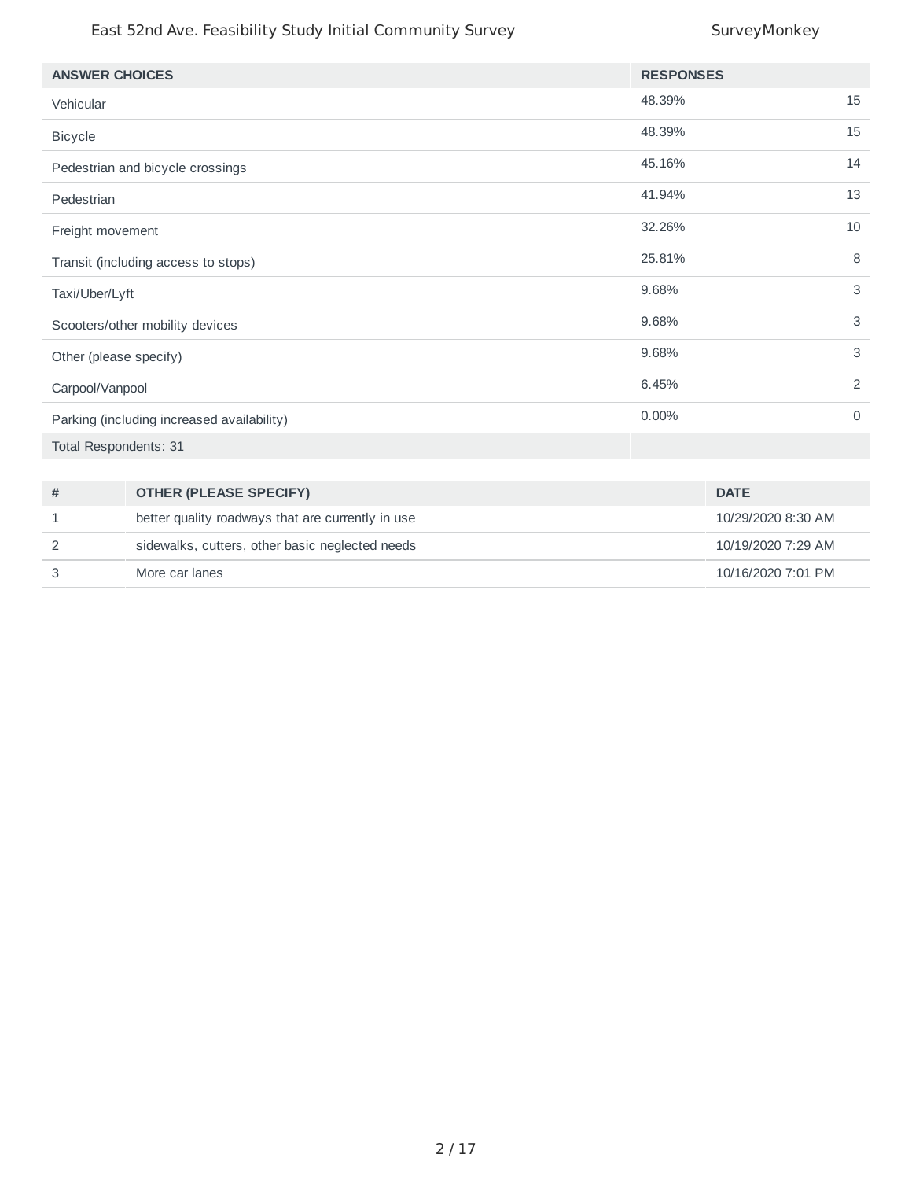| <b>ANSWER CHOICES</b>                      |                                                   | <b>RESPONSES</b> |                    |
|--------------------------------------------|---------------------------------------------------|------------------|--------------------|
| Vehicular                                  |                                                   | 48.39%           | 15                 |
| <b>Bicycle</b>                             |                                                   | 48.39%           | 15                 |
|                                            | Pedestrian and bicycle crossings                  | 45.16%           | 14                 |
| Pedestrian                                 |                                                   | 41.94%           | 13                 |
| Freight movement                           |                                                   | 32.26%           | 10                 |
|                                            | Transit (including access to stops)               | 25.81%           | 8                  |
| Taxi/Uber/Lyft                             |                                                   | 9.68%            | 3                  |
| Scooters/other mobility devices            |                                                   | 9.68%            | 3                  |
| Other (please specify)                     |                                                   | 9.68%            | 3                  |
| Carpool/Vanpool                            |                                                   | 6.45%            | 2                  |
| Parking (including increased availability) |                                                   | $0.00\%$         | $\Omega$           |
| Total Respondents: 31                      |                                                   |                  |                    |
|                                            |                                                   |                  |                    |
| #                                          | <b>OTHER (PLEASE SPECIFY)</b>                     |                  | <b>DATE</b>        |
| 1                                          | better quality roadways that are currently in use |                  | 10/29/2020 8:30 AM |
| 2                                          | sidewalks, cutters, other basic neglected needs   |                  | 10/19/2020 7:29 AM |
| 3                                          | More car lanes                                    |                  | 10/16/2020 7:01 PM |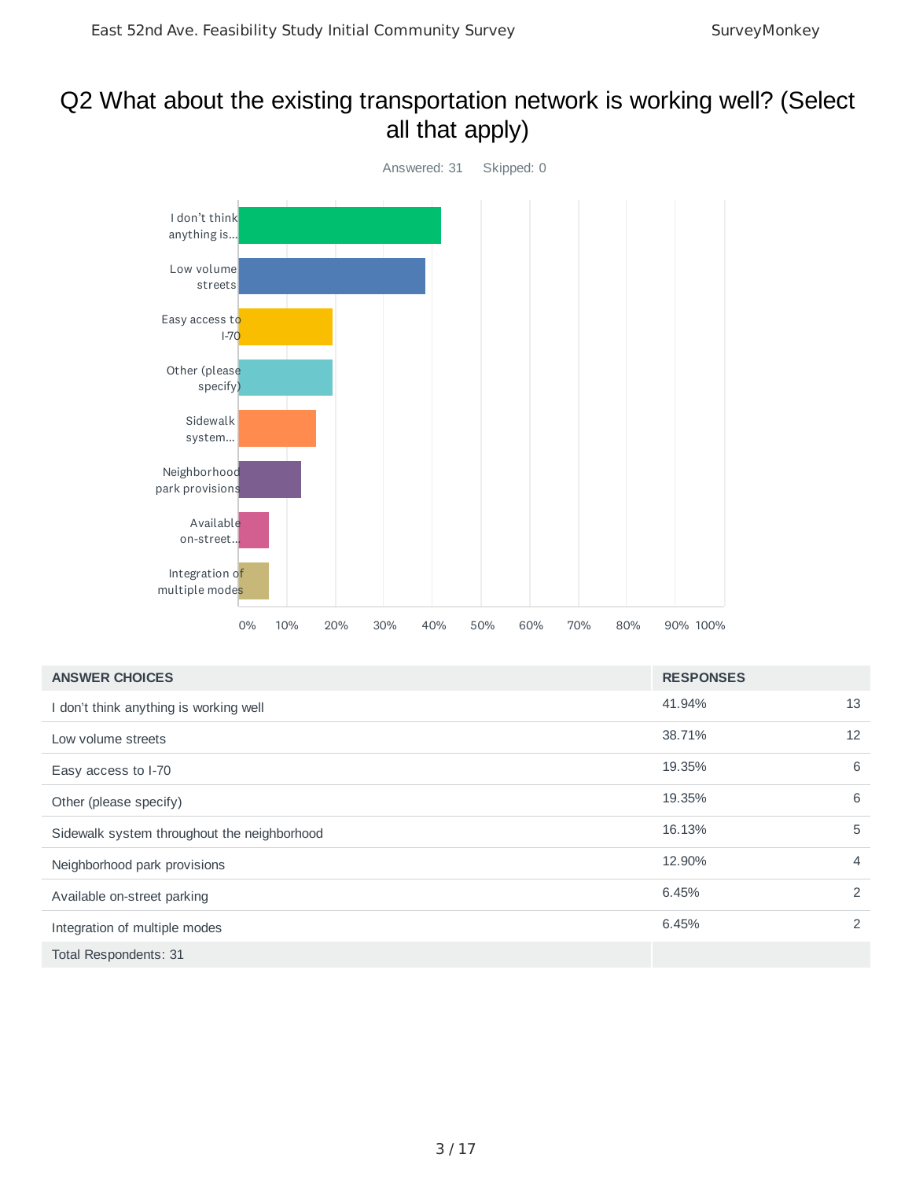## Q2 What about the existing transportation network is working well? (Select all that apply)



| <b>ANSWER CHOICES</b>                       | <b>RESPONSES</b> |                |
|---------------------------------------------|------------------|----------------|
| I don't think anything is working well      | 41.94%           | 13             |
| Low volume streets                          | 38.71%           | 12             |
| Easy access to I-70                         | 19.35%           | 6              |
| Other (please specify)                      | 19.35%           | 6              |
| Sidewalk system throughout the neighborhood | 16.13%           | 5              |
| Neighborhood park provisions                | 12.90%           | $\overline{4}$ |
| Available on-street parking                 | 6.45%            | 2              |
| Integration of multiple modes               | 6.45%            | 2              |
| Total Respondents: 31                       |                  |                |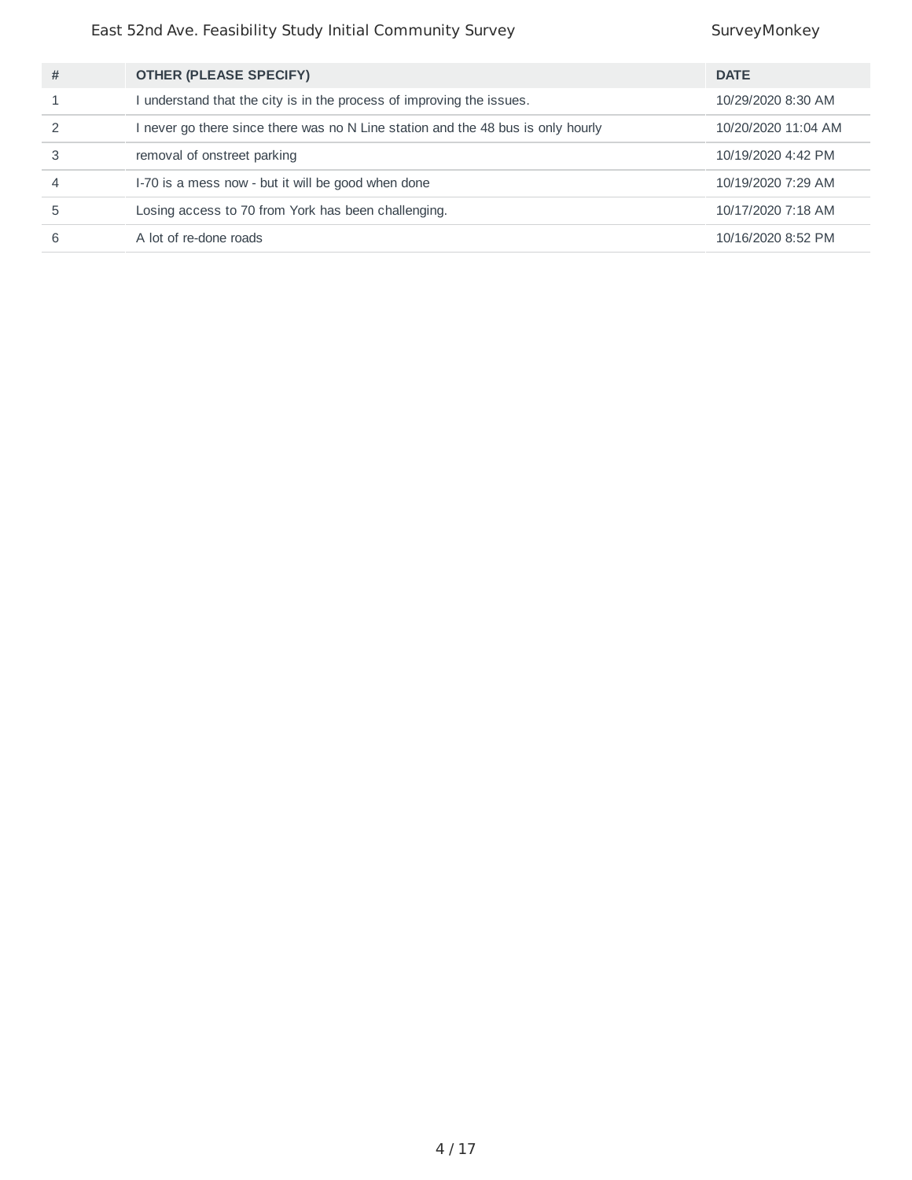| # | <b>OTHER (PLEASE SPECIFY)</b>                                                  | <b>DATE</b>         |
|---|--------------------------------------------------------------------------------|---------------------|
|   | understand that the city is in the process of improving the issues.            | 10/29/2020 8:30 AM  |
|   | never go there since there was no N Line station and the 48 bus is only hourly | 10/20/2020 11:04 AM |
|   | removal of onstreet parking                                                    | 10/19/2020 4:42 PM  |
|   | I-70 is a mess now - but it will be good when done                             | 10/19/2020 7:29 AM  |
| 5 | Losing access to 70 from York has been challenging.                            | 10/17/2020 7:18 AM  |
|   | A lot of re-done roads                                                         | 10/16/2020 8:52 PM  |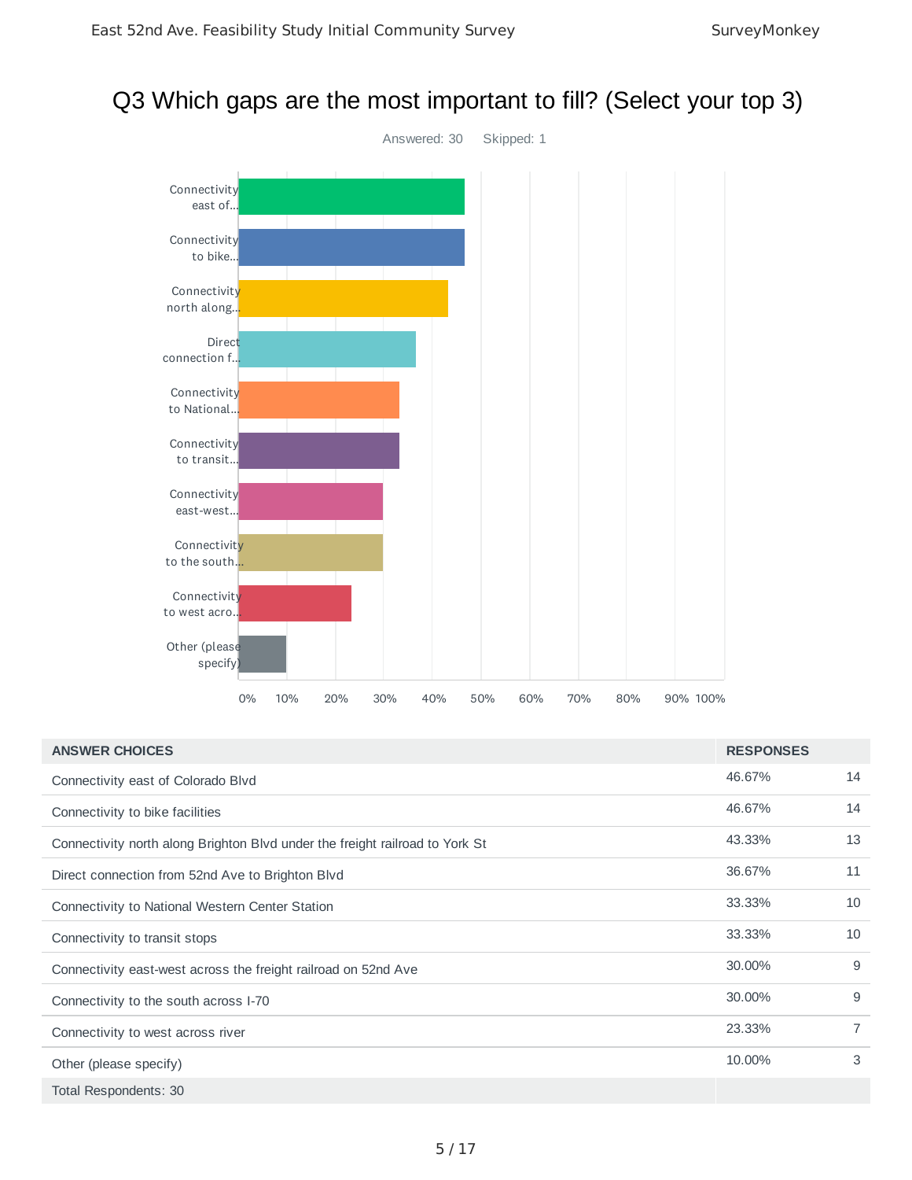### Q3 Which gaps are the most important to fill? (Select your top 3)



| <b>ANSWER CHOICES</b>                                                        | <b>RESPONSES</b> |                |
|------------------------------------------------------------------------------|------------------|----------------|
| Connectivity east of Colorado Blvd                                           | 46.67%           | 14             |
| Connectivity to bike facilities                                              | 46.67%           | 14             |
| Connectivity north along Brighton Blvd under the freight railroad to York St | 43.33%           | 13             |
| Direct connection from 52nd Ave to Brighton Blvd                             | 36.67%           | 11             |
| Connectivity to National Western Center Station                              | 33.33%           | 10             |
| Connectivity to transit stops                                                | 33.33%           | 10             |
| Connectivity east-west across the freight railroad on 52nd Ave               | 30.00%           | 9              |
| Connectivity to the south across I-70                                        | 30.00%           | 9              |
| Connectivity to west across river                                            | 23.33%           | $\overline{7}$ |
| Other (please specify)                                                       | 10.00%           | 3              |
| Total Respondents: 30                                                        |                  |                |

5 / 17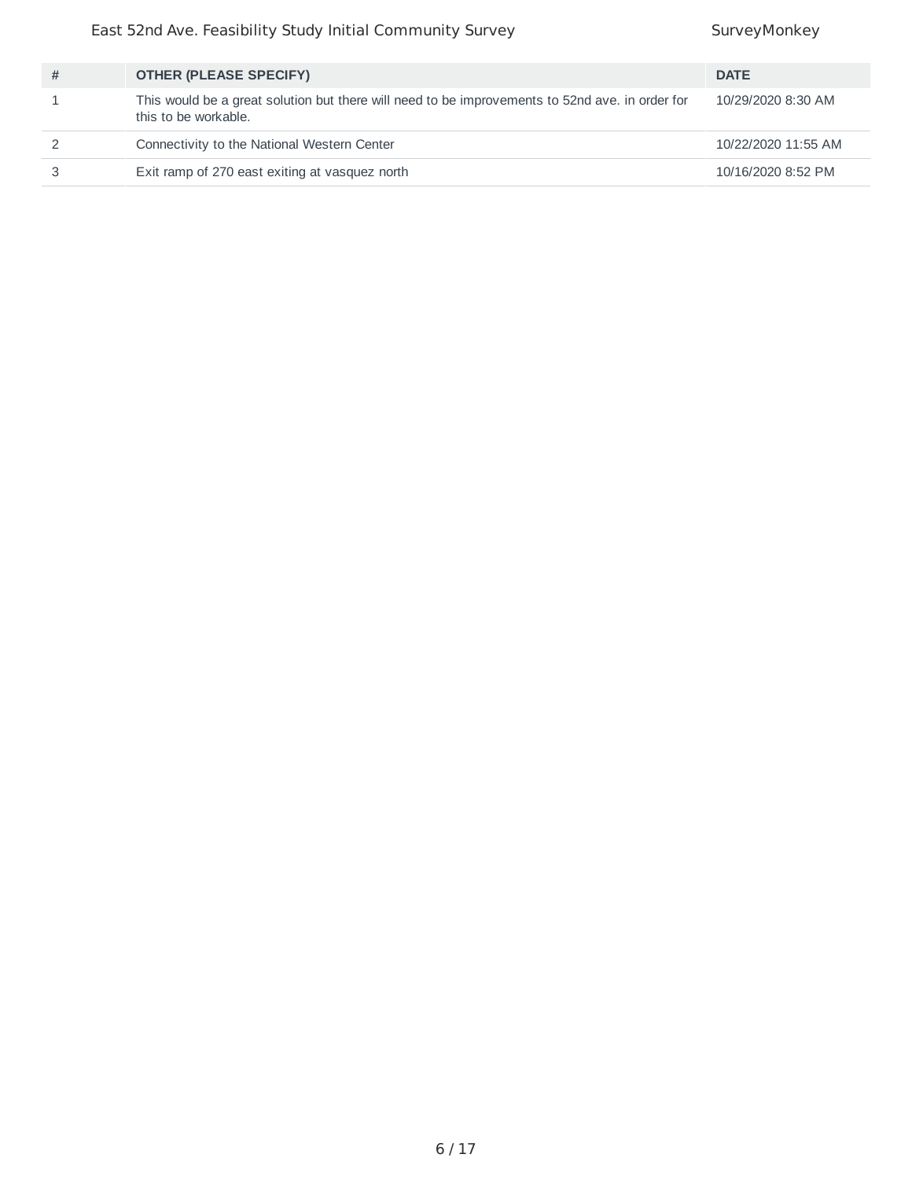| # | <b>OTHER (PLEASE SPECIFY)</b>                                                                                           | <b>DATE</b>         |
|---|-------------------------------------------------------------------------------------------------------------------------|---------------------|
|   | This would be a great solution but there will need to be improvements to 52nd ave. in order for<br>this to be workable. | 10/29/2020 8:30 AM  |
|   | Connectivity to the National Western Center                                                                             | 10/22/2020 11:55 AM |
|   | Exit ramp of 270 east exiting at vasquez north                                                                          | 10/16/2020 8:52 PM  |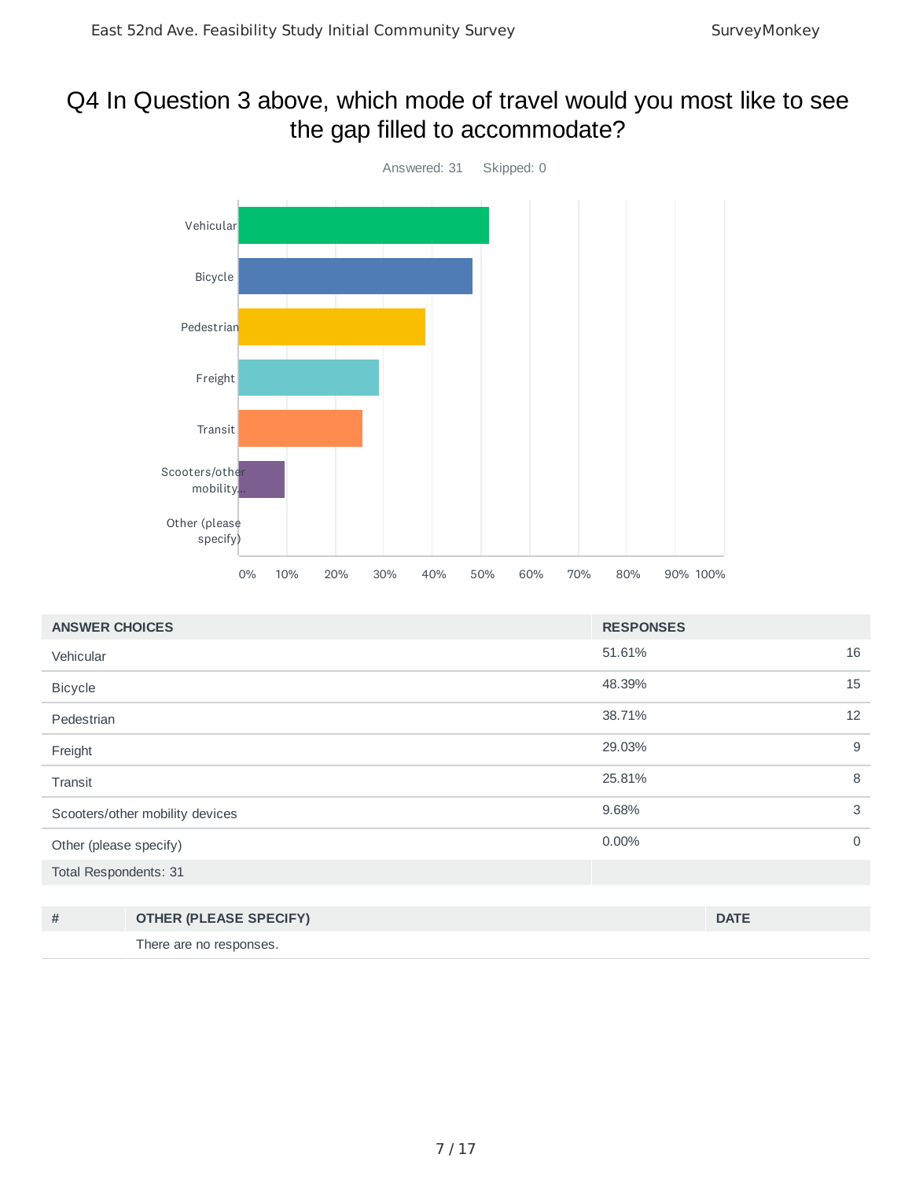## Q4 In Question 3 above, which mode of travel would you most like to see the gap filled to accommodate?



| <b>ANSWER CHOICES</b>           | <b>RESPONSES</b> |             |
|---------------------------------|------------------|-------------|
| Vehicular                       | 51.61%           | 16          |
| <b>Bicycle</b>                  | 48.39%           | 15          |
| Pedestrian                      | 38.71%           | 12          |
| Freight                         | 29.03%           | 9           |
| Transit                         | 25.81%           | 8           |
| Scooters/other mobility devices | 9.68%            | 3           |
| Other (please specify)          | 0.00%            | $\mathbf 0$ |
| Total Respondents: 31           |                  |             |

| <b>OTHER (PLEASE SPECIFY)</b> | <b>DATE</b> |
|-------------------------------|-------------|
| There are no responses.       |             |

7 / 17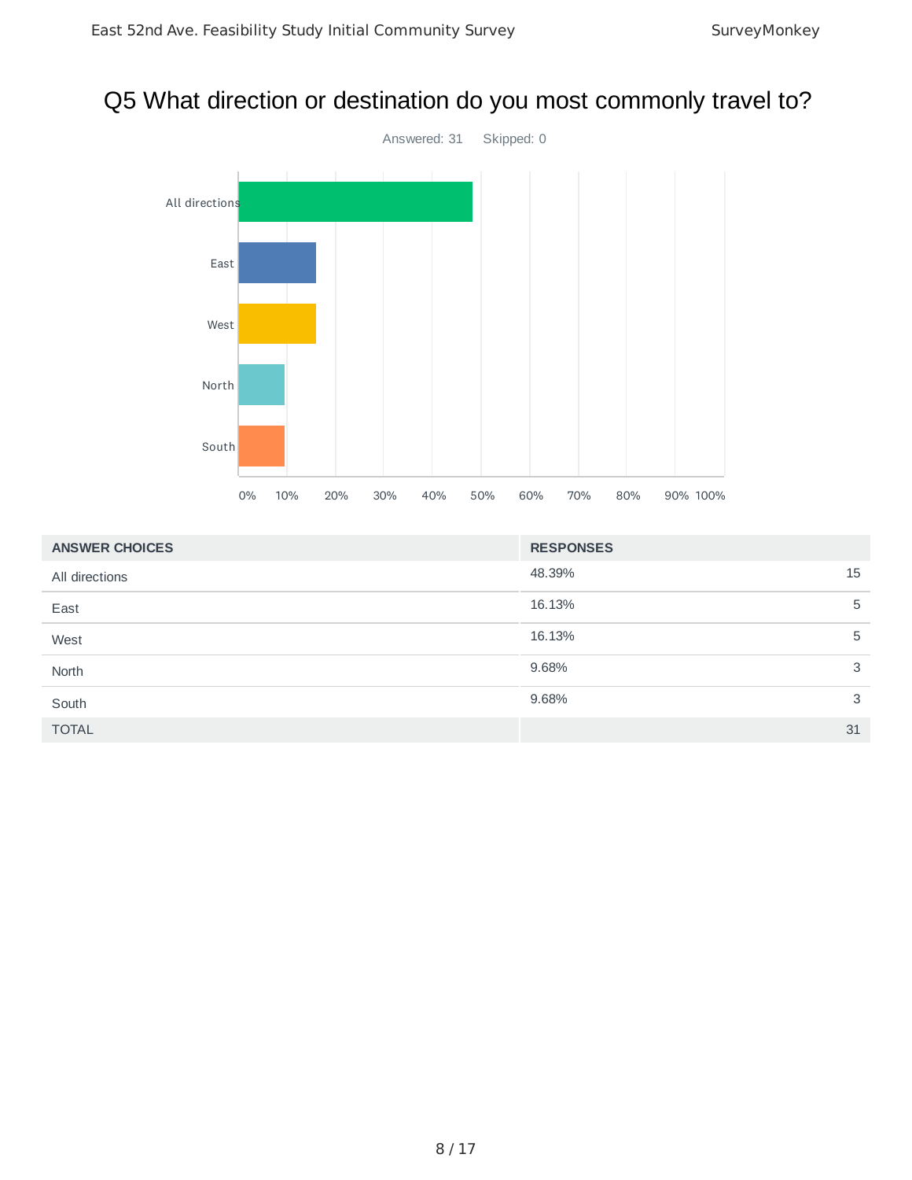### Q5 What direction or destination do you most commonly travel to?



| <b>ANSWER CHOICES</b> | <b>RESPONSES</b> |
|-----------------------|------------------|
| All directions        | 48.39%<br>15     |
| East                  | 16.13%<br>5      |
| West                  | 16.13%<br>5      |
| North                 | 3<br>9.68%       |
| South                 | 9.68%<br>3       |
| <b>TOTAL</b>          | 31               |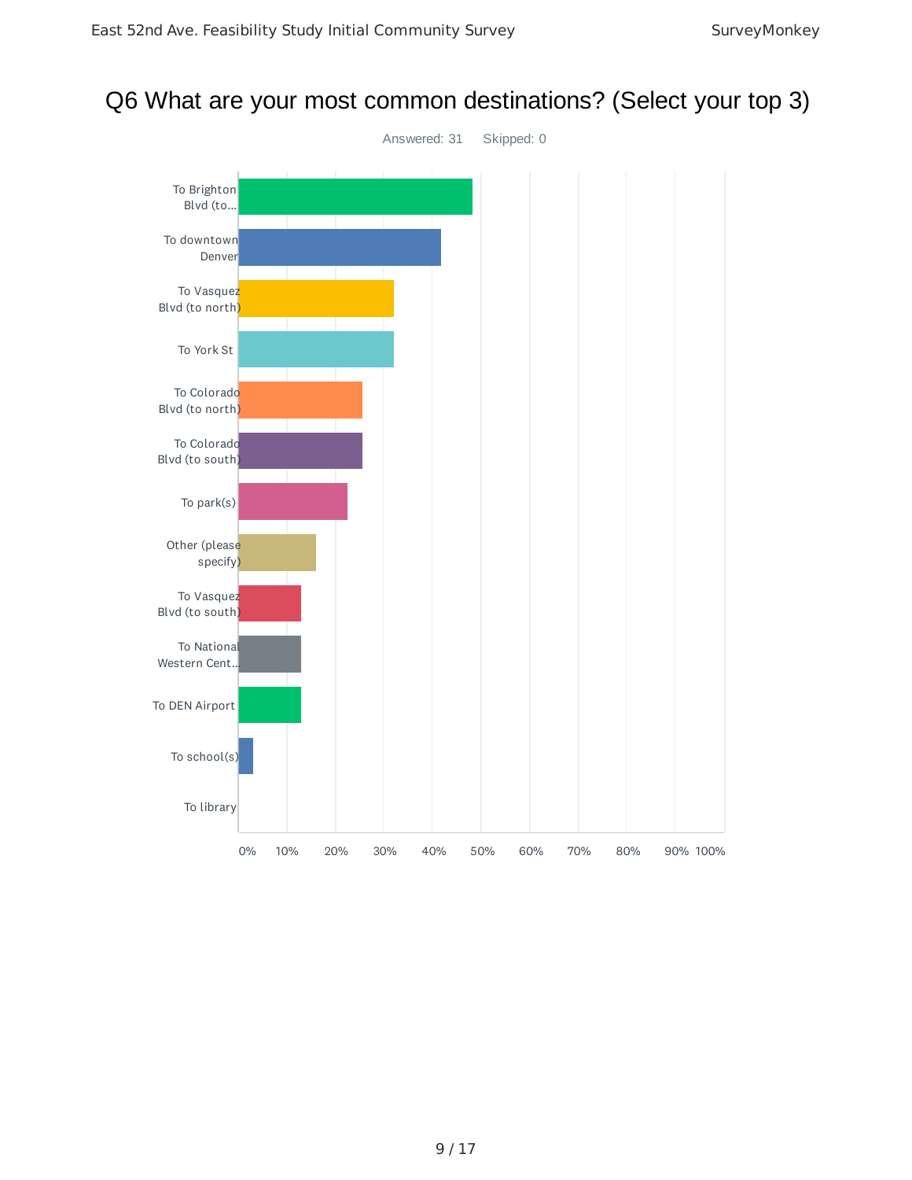### Q6 What are your most common destinations? (Select your top 3)

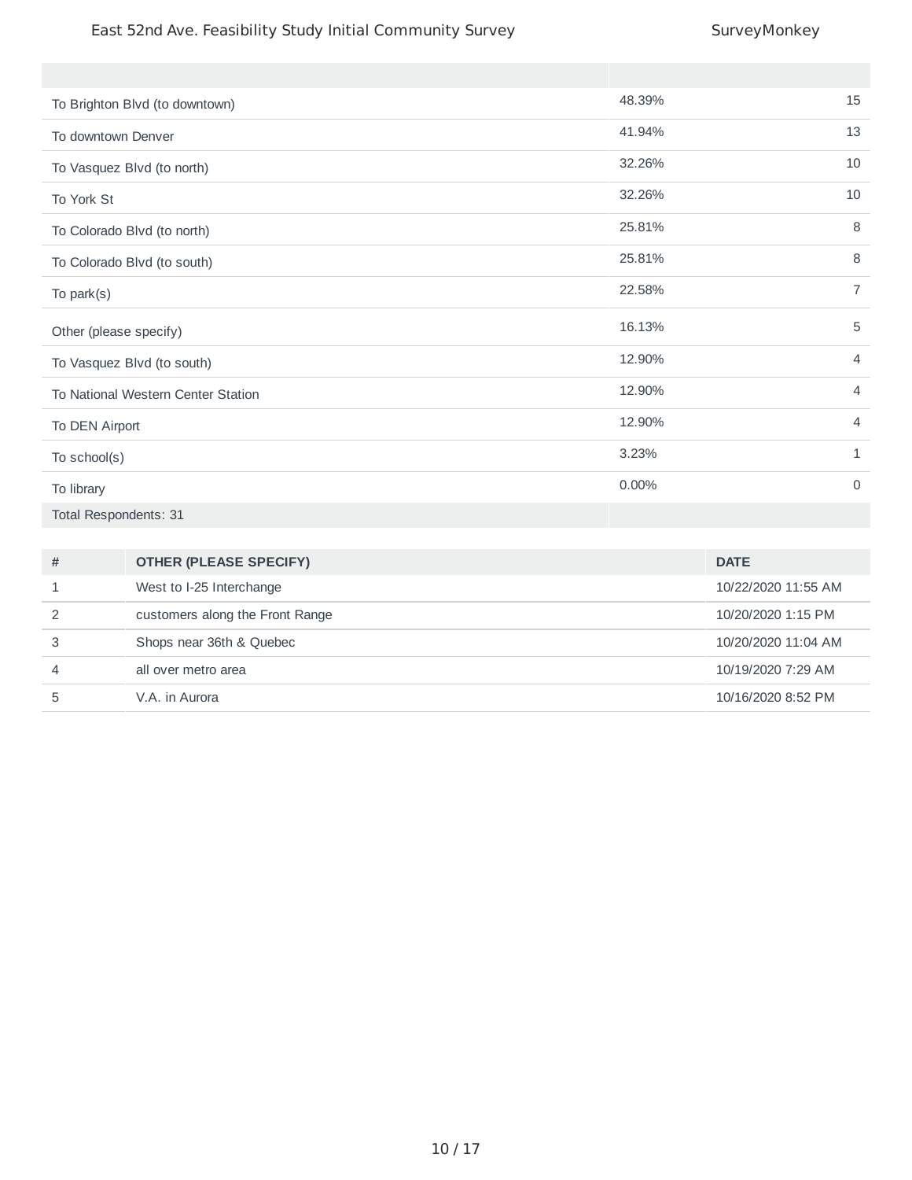| To Brighton Blvd (to downtown)     | 48.39% | 15             |
|------------------------------------|--------|----------------|
| To downtown Denver                 | 41.94% | 13             |
| To Vasquez Blvd (to north)         | 32.26% | 10             |
| To York St                         | 32.26% | 10             |
| To Colorado Blvd (to north)        | 25.81% | 8              |
| To Colorado Blvd (to south)        | 25.81% | 8              |
| To park(s)                         | 22.58% | $\overline{7}$ |
| Other (please specify)             | 16.13% | $\mathbf 5$    |
| To Vasquez Blvd (to south)         | 12.90% | $\overline{4}$ |
| To National Western Center Station | 12.90% | $\overline{4}$ |
| To DEN Airport                     | 12.90% | $\overline{4}$ |
| To school(s)                       | 3.23%  | $\mathbf{1}$   |
| To library                         | 0.00%  | $\mathbf 0$    |
| Total Respondents: 31              |        |                |

| # | <b>OTHER (PLEASE SPECIFY)</b>   | <b>DATE</b>         |
|---|---------------------------------|---------------------|
|   | West to I-25 Interchange        | 10/22/2020 11:55 AM |
| 2 | customers along the Front Range | 10/20/2020 1:15 PM  |
| 3 | Shops near 36th & Quebec        | 10/20/2020 11:04 AM |
| 4 | all over metro area             | 10/19/2020 7:29 AM  |
| 5 | V.A. in Aurora                  | 10/16/2020 8:52 PM  |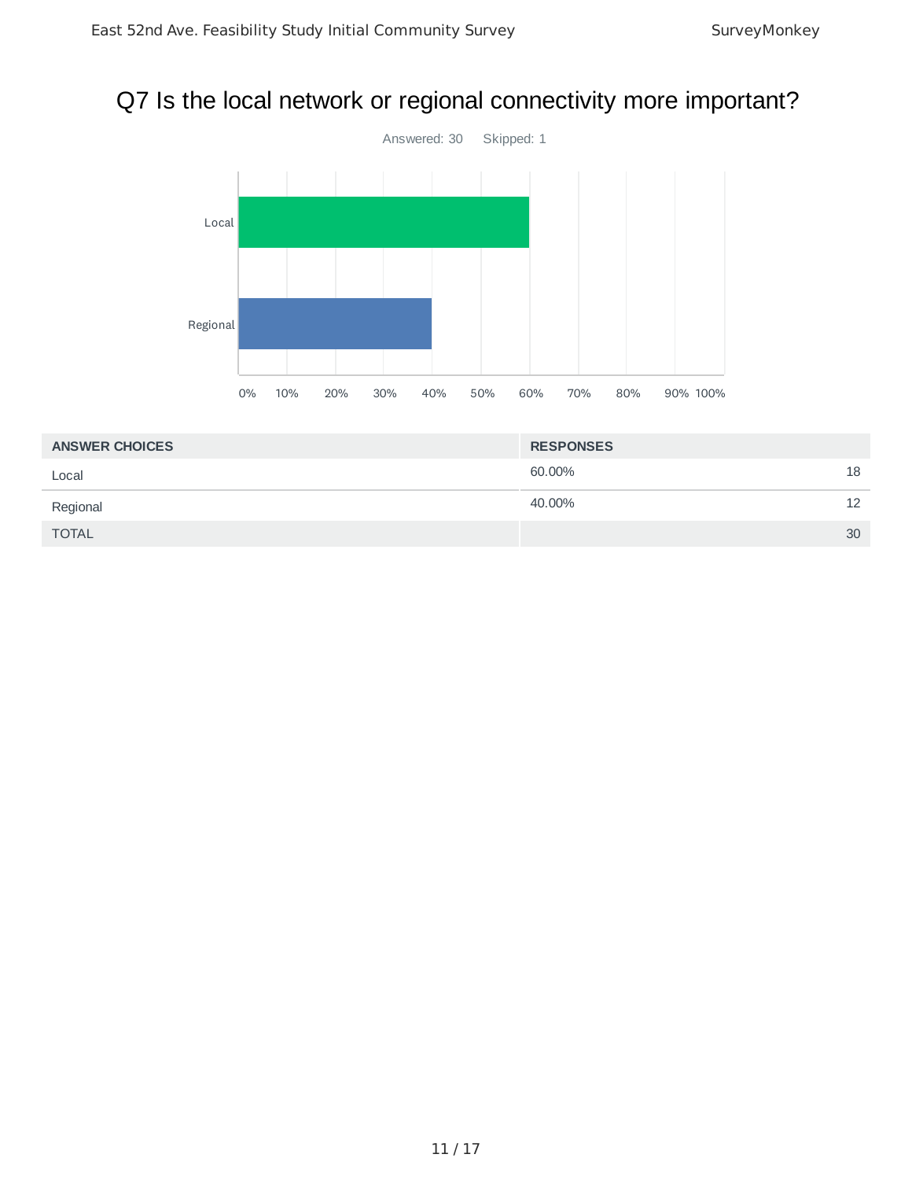# Q7 Is the local network or regional connectivity more important?



| <b>ANSWER CHOICES</b> | <b>RESPONSES</b> |    |
|-----------------------|------------------|----|
| Local                 | 60.00%           | 18 |
| Regional              | 40.00%           | 12 |
| <b>TOTAL</b>          |                  | 30 |
|                       |                  |    |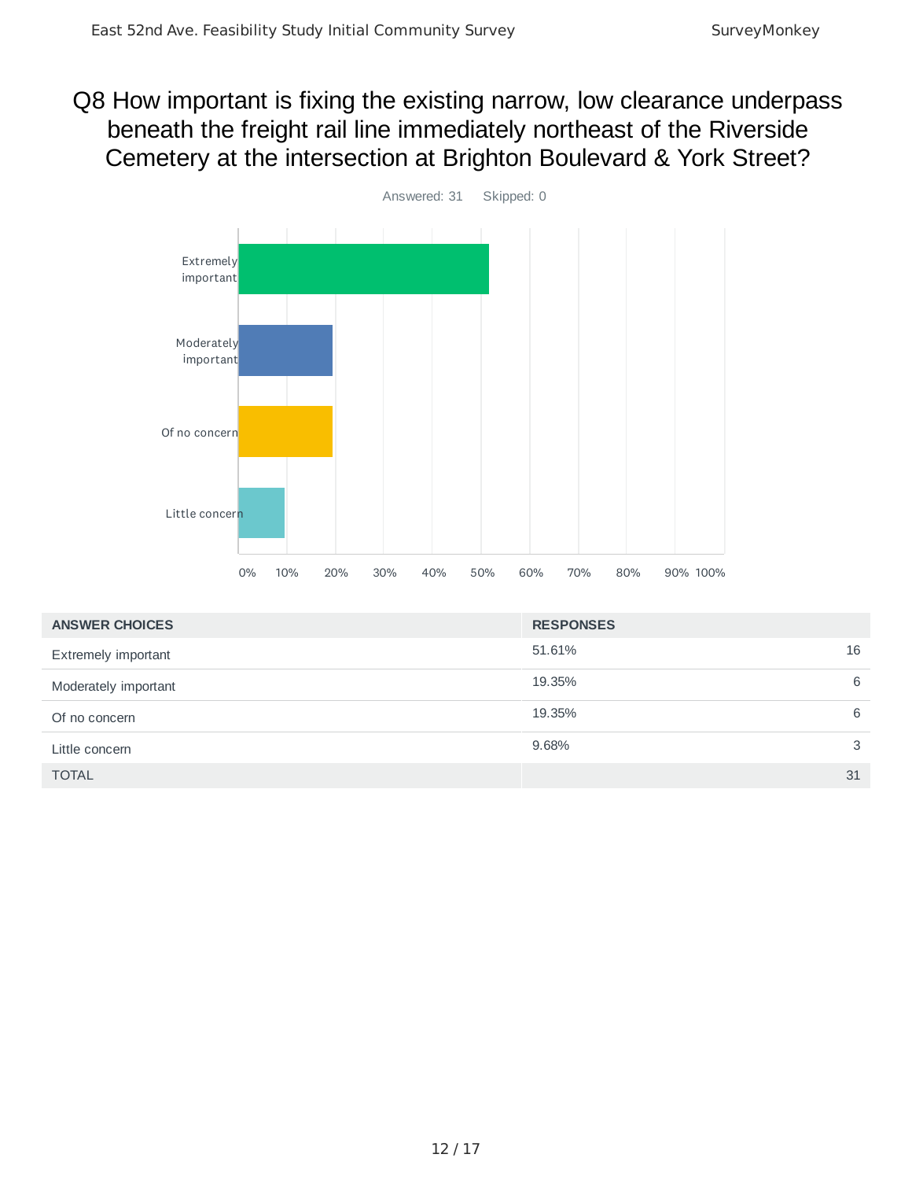## Q8 How important is fixing the existing narrow, low clearance underpass beneath the freight rail line immediately northeast of the Riverside Cemetery at the intersection at Brighton Boulevard & York Street?



| <b>ANSWER CHOICES</b> | <b>RESPONSES</b> |    |
|-----------------------|------------------|----|
| Extremely important   | 51.61%           | 16 |
| Moderately important  | 19.35%           | 6  |
| Of no concern         | 19.35%           | 6  |
| Little concern        | 9.68%            | 3  |
| <b>TOTAL</b>          |                  | 31 |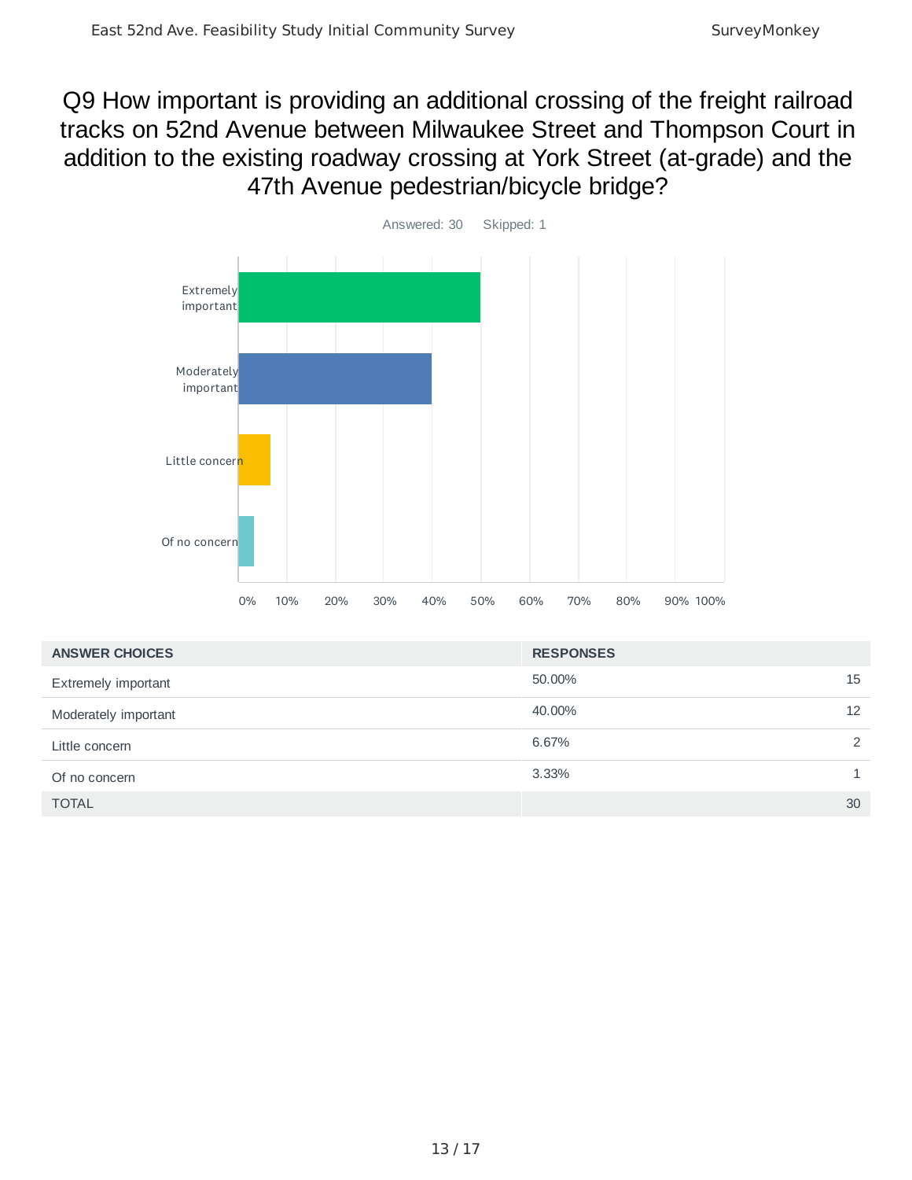# Q9 How important is providing an additional crossing of the freight railroad tracks on 52nd Avenue between Milwaukee Street and Thompson Court in addition to the existing roadway crossing at York Street (at-grade) and the 47th Avenue pedestrian/bicycle bridge?



| <b>ANSWER CHOICES</b>      | <b>RESPONSES</b> |                 |
|----------------------------|------------------|-----------------|
| <b>Extremely important</b> | 50.00%           | 15              |
| Moderately important       | 40.00%           | 12 <sup>2</sup> |
| Little concern             | 6.67%            | 2               |
| Of no concern              | 3.33%            |                 |
| <b>TOTAL</b>               |                  | 30              |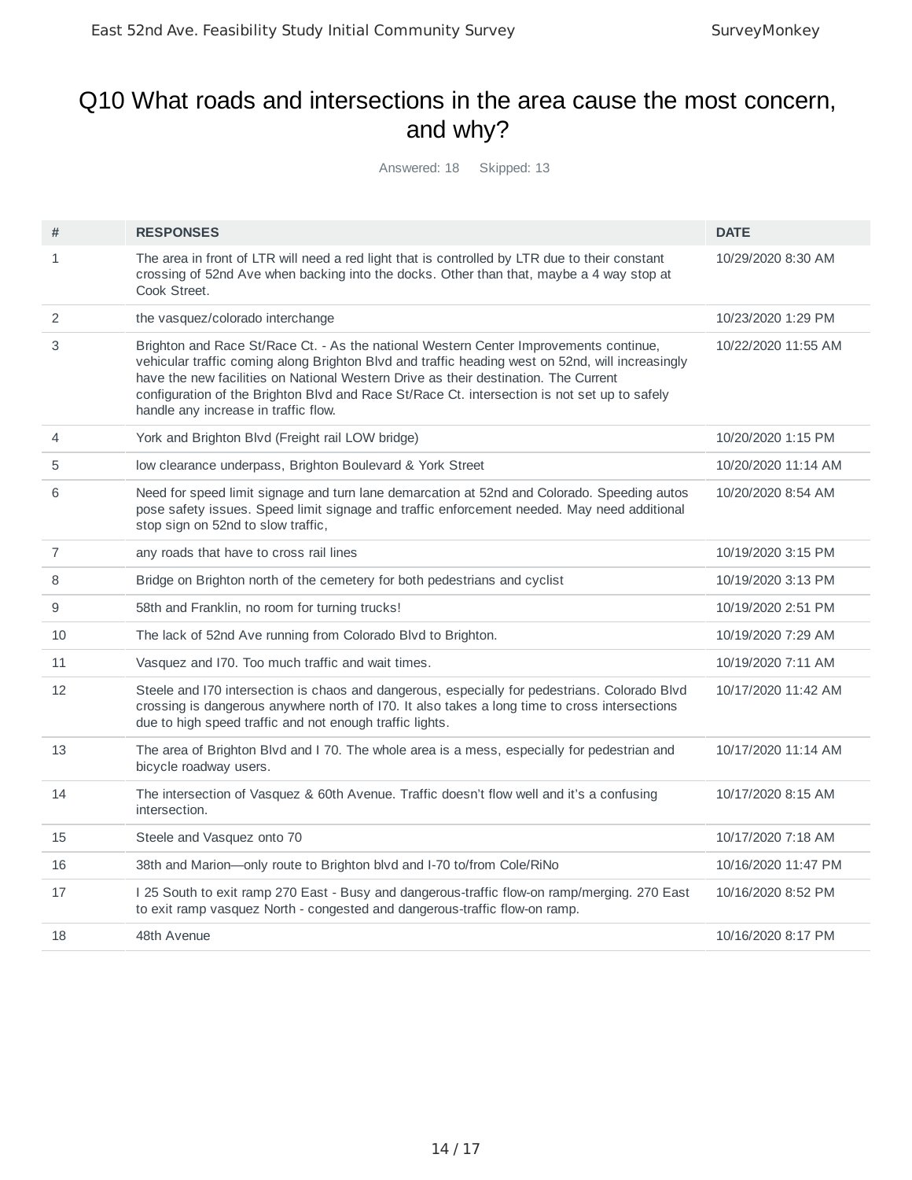### Q10 What roads and intersections in the area cause the most concern, and why?

Answered: 18 Skipped: 13

| #              | <b>RESPONSES</b>                                                                                                                                                                                                                                                                                                                                                                                                         | <b>DATE</b>         |
|----------------|--------------------------------------------------------------------------------------------------------------------------------------------------------------------------------------------------------------------------------------------------------------------------------------------------------------------------------------------------------------------------------------------------------------------------|---------------------|
| $\mathbf{1}$   | The area in front of LTR will need a red light that is controlled by LTR due to their constant<br>crossing of 52nd Ave when backing into the docks. Other than that, maybe a 4 way stop at<br>Cook Street.                                                                                                                                                                                                               | 10/29/2020 8:30 AM  |
| 2              | the vasquez/colorado interchange                                                                                                                                                                                                                                                                                                                                                                                         | 10/23/2020 1:29 PM  |
| 3              | Brighton and Race St/Race Ct. - As the national Western Center Improvements continue,<br>vehicular traffic coming along Brighton Blvd and traffic heading west on 52nd, will increasingly<br>have the new facilities on National Western Drive as their destination. The Current<br>configuration of the Brighton Blvd and Race St/Race Ct. intersection is not set up to safely<br>handle any increase in traffic flow. | 10/22/2020 11:55 AM |
| 4              | York and Brighton Blvd (Freight rail LOW bridge)                                                                                                                                                                                                                                                                                                                                                                         | 10/20/2020 1:15 PM  |
| 5              | low clearance underpass, Brighton Boulevard & York Street                                                                                                                                                                                                                                                                                                                                                                | 10/20/2020 11:14 AM |
| 6              | Need for speed limit signage and turn lane demarcation at 52nd and Colorado. Speeding autos<br>pose safety issues. Speed limit signage and traffic enforcement needed. May need additional<br>stop sign on 52nd to slow traffic,                                                                                                                                                                                         | 10/20/2020 8:54 AM  |
| $\overline{7}$ | any roads that have to cross rail lines                                                                                                                                                                                                                                                                                                                                                                                  | 10/19/2020 3:15 PM  |
| 8              | Bridge on Brighton north of the cemetery for both pedestrians and cyclist                                                                                                                                                                                                                                                                                                                                                | 10/19/2020 3:13 PM  |
| 9              | 58th and Franklin, no room for turning trucks!                                                                                                                                                                                                                                                                                                                                                                           | 10/19/2020 2:51 PM  |
| 10             | The lack of 52nd Ave running from Colorado Blvd to Brighton.                                                                                                                                                                                                                                                                                                                                                             | 10/19/2020 7:29 AM  |
| 11             | Vasquez and 170. Too much traffic and wait times.                                                                                                                                                                                                                                                                                                                                                                        | 10/19/2020 7:11 AM  |
| 12             | Steele and I70 intersection is chaos and dangerous, especially for pedestrians. Colorado Blvd<br>crossing is dangerous anywhere north of I70. It also takes a long time to cross intersections<br>due to high speed traffic and not enough traffic lights.                                                                                                                                                               | 10/17/2020 11:42 AM |
| 13             | The area of Brighton Blvd and I 70. The whole area is a mess, especially for pedestrian and<br>bicycle roadway users.                                                                                                                                                                                                                                                                                                    | 10/17/2020 11:14 AM |
| 14             | The intersection of Vasquez & 60th Avenue. Traffic doesn't flow well and it's a confusing<br>intersection.                                                                                                                                                                                                                                                                                                               | 10/17/2020 8:15 AM  |
| 15             | Steele and Vasquez onto 70                                                                                                                                                                                                                                                                                                                                                                                               | 10/17/2020 7:18 AM  |
| 16             | 38th and Marion-only route to Brighton blvd and I-70 to/from Cole/RiNo                                                                                                                                                                                                                                                                                                                                                   | 10/16/2020 11:47 PM |
| 17             | I 25 South to exit ramp 270 East - Busy and dangerous-traffic flow-on ramp/merging. 270 East<br>to exit ramp vasquez North - congested and dangerous-traffic flow-on ramp.                                                                                                                                                                                                                                               | 10/16/2020 8:52 PM  |
| 18             | 48th Avenue                                                                                                                                                                                                                                                                                                                                                                                                              | 10/16/2020 8:17 PM  |
|                |                                                                                                                                                                                                                                                                                                                                                                                                                          |                     |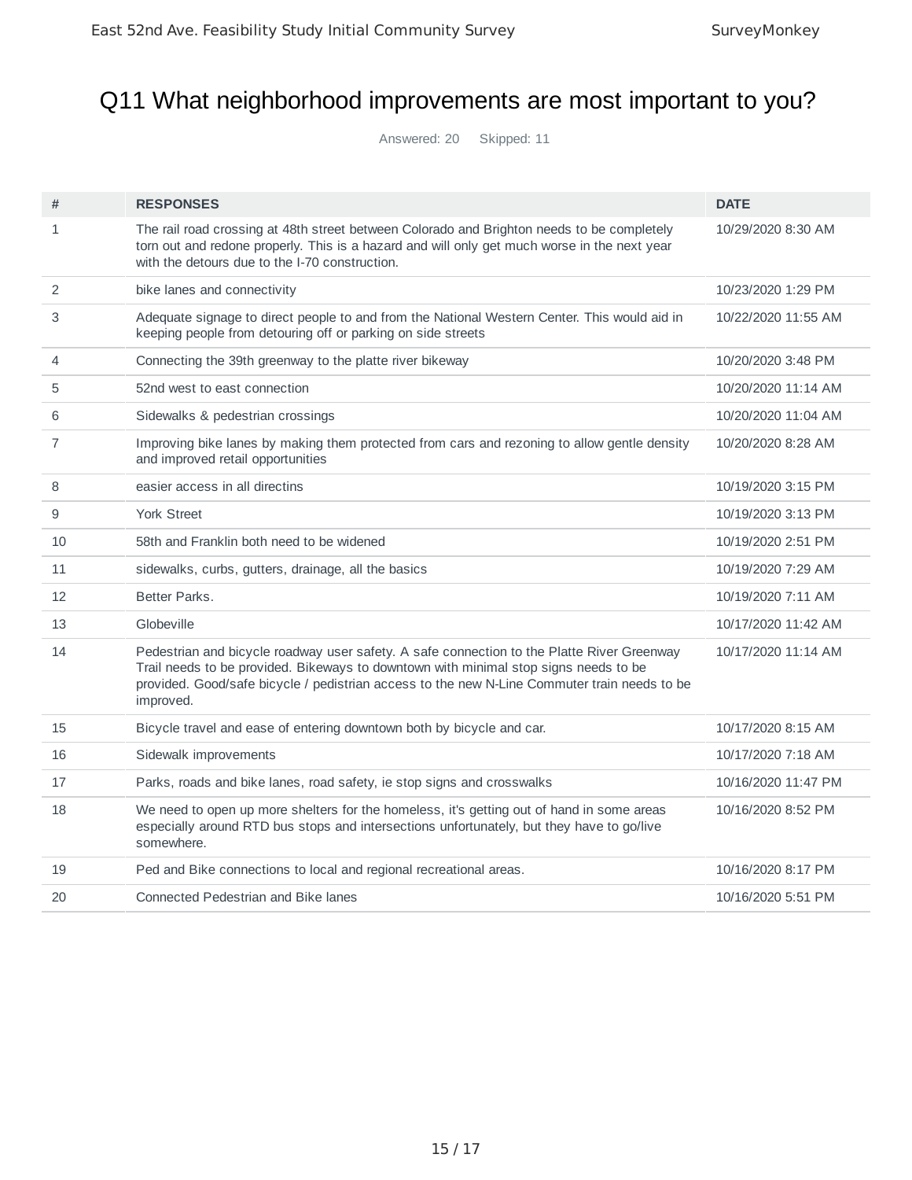### Q11 What neighborhood improvements are most important to you?

Answered: 20 Skipped: 11

| #              | <b>RESPONSES</b>                                                                                                                                                                                                                                                                                | <b>DATE</b>         |
|----------------|-------------------------------------------------------------------------------------------------------------------------------------------------------------------------------------------------------------------------------------------------------------------------------------------------|---------------------|
| $\mathbf{1}$   | The rail road crossing at 48th street between Colorado and Brighton needs to be completely<br>torn out and redone properly. This is a hazard and will only get much worse in the next year<br>with the detours due to the 1-70 construction.                                                    | 10/29/2020 8:30 AM  |
| 2              | bike lanes and connectivity                                                                                                                                                                                                                                                                     | 10/23/2020 1:29 PM  |
| 3              | Adequate signage to direct people to and from the National Western Center. This would aid in<br>keeping people from detouring off or parking on side streets                                                                                                                                    | 10/22/2020 11:55 AM |
| 4              | Connecting the 39th greenway to the platte river bikeway                                                                                                                                                                                                                                        | 10/20/2020 3:48 PM  |
| 5              | 52nd west to east connection                                                                                                                                                                                                                                                                    | 10/20/2020 11:14 AM |
| 6              | Sidewalks & pedestrian crossings                                                                                                                                                                                                                                                                | 10/20/2020 11:04 AM |
| $\overline{7}$ | Improving bike lanes by making them protected from cars and rezoning to allow gentle density<br>and improved retail opportunities                                                                                                                                                               | 10/20/2020 8:28 AM  |
| 8              | easier access in all directins                                                                                                                                                                                                                                                                  | 10/19/2020 3:15 PM  |
| 9              | <b>York Street</b>                                                                                                                                                                                                                                                                              | 10/19/2020 3:13 PM  |
| 10             | 58th and Franklin both need to be widened                                                                                                                                                                                                                                                       | 10/19/2020 2:51 PM  |
| 11             | sidewalks, curbs, gutters, drainage, all the basics                                                                                                                                                                                                                                             | 10/19/2020 7:29 AM  |
| 12             | Better Parks.                                                                                                                                                                                                                                                                                   | 10/19/2020 7:11 AM  |
| 13             | Globeville                                                                                                                                                                                                                                                                                      | 10/17/2020 11:42 AM |
| 14             | Pedestrian and bicycle roadway user safety. A safe connection to the Platte River Greenway<br>Trail needs to be provided. Bikeways to downtown with minimal stop signs needs to be<br>provided. Good/safe bicycle / pedistrian access to the new N-Line Commuter train needs to be<br>improved. | 10/17/2020 11:14 AM |
| 15             | Bicycle travel and ease of entering downtown both by bicycle and car.                                                                                                                                                                                                                           | 10/17/2020 8:15 AM  |
| 16             | Sidewalk improvements                                                                                                                                                                                                                                                                           | 10/17/2020 7:18 AM  |
| 17             | Parks, roads and bike lanes, road safety, ie stop signs and crosswalks                                                                                                                                                                                                                          | 10/16/2020 11:47 PM |
| 18             | We need to open up more shelters for the homeless, it's getting out of hand in some areas<br>especially around RTD bus stops and intersections unfortunately, but they have to go/live<br>somewhere.                                                                                            | 10/16/2020 8:52 PM  |
| 19             | Ped and Bike connections to local and regional recreational areas.                                                                                                                                                                                                                              | 10/16/2020 8:17 PM  |
| 20             | Connected Pedestrian and Bike lanes                                                                                                                                                                                                                                                             | 10/16/2020 5:51 PM  |
|                |                                                                                                                                                                                                                                                                                                 |                     |